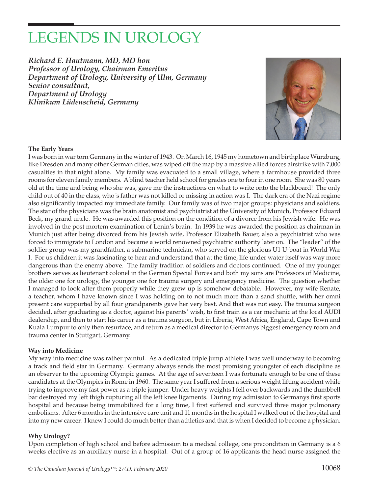# LEGENDS IN UROLOGY

*Richard E. Hautmann, MD, MD hon Professor of Urology, Chairman Emeritus Department of Urology, University of Ulm, Germany Senior consultant, Department of Urology Klinikum Lüdenscheid, Germany*



#### **The Early Years**

I was born in war torn Germany in the winter of 1943. On March 16, 1945 my hometown and birthplace Würzburg, like Dresden and many other German cities, was wiped off the map by a massive allied forces airstrike with 7,000 casualties in that night alone. My family was evacuated to a small village, where a farmhouse provided three rooms for eleven family members. A blind teacher held school for grades one to four in one room. She was 80 years old at the time and being who she was, gave me the instructions on what to write onto the blackboard! The only child out of 40 in the class, who´s father was not killed or missing in action was I. The dark era of the Nazi regime also significantly impacted my immediate family. Our family was of two major groups: physicians and soldiers. The star of the physicians was the brain anatomist and psychiatrist at the University of Munich, Professor Eduard Beck, my grand uncle. He was awarded this position on the condition of a divorce from his Jewish wife. He was involved in the post mortem examination of Lenin's brain. In 1939 he was awarded the position as chairman in Munich just after being divorced from his Jewish wife, Professor Elizabeth Bauer, also a psychiatrist who was forced to immigrate to London and became a world renowned psychiatric authority later on. The "leader" of the soldier group was my grandfather, a submarine technician, who served on the glorious U1 U-boat in World War I. For us children it was fascinating to hear and understand that at the time, life under water itself was way more dangerous than the enemy above. The family tradition of soldiers and doctors continued. One of my younger brothers serves as lieutenant colonel in the German Special Forces and both my sons are Professors of Medicine, the older one for urology, the younger one for trauma surgery and emergency medicine. The question whether I managed to look after them properly while they grew up is somehow debatable. However, my wife Renate, a teacher, whom I have known since I was holding on to not much more than a sand shuffle, with her omni present care supported by all four grandparents gave her very best. And that was not easy. The trauma surgeon decided, after graduating as a doctor, against his parents' wish, to first train as a car mechanic at the local AUDI dealership, and then to start his career as a trauma surgeon, but in Liberia, West Africa, England, Cape Town and Kuala Lumpur to only then resurface, and return as a medical director to Germanys biggest emergency room and trauma center in Stuttgart, Germany.

#### **Way into Medicine**

My way into medicine was rather painful. As a dedicated triple jump athlete I was well underway to becoming a track and field star in Germany. Germany always sends the most promising youngster of each discipline as an observer to the upcoming Olympic games. At the age of seventeen I was fortunate enough to be one of these candidates at the Olympics in Rome in 1960. The same year I suffered from a serious weight lifting accident while trying to improve my fast power as a triple jumper. Under heavy weights I fell over backwards and the dumbbell bar destroyed my left thigh rupturing all the left knee ligaments. During my admission to Germanys first sports hospital and because being immobilized for a long time, I first suffered and survived three major pulmonary embolisms. After 6 months in the intensive care unit and 11 months in the hospital I walked out of the hospital and into my new career. I knew I could do much better than athletics and that is when I decided to become a physician.

#### **Why Urology?**

Upon completion of high school and before admission to a medical college, one precondition in Germany is a 6 weeks elective as an auxiliary nurse in a hospital. Out of a group of 16 applicants the head nurse assigned the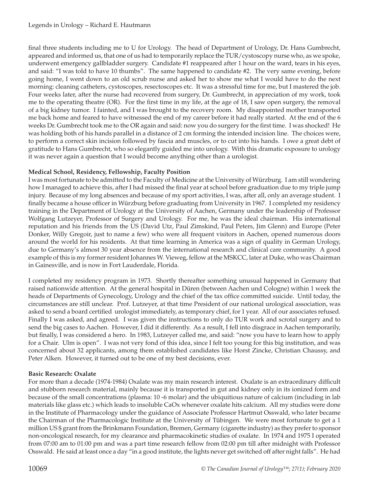final three students including me to U for Urology. The head of Department of Urology, Dr. Hans Gumbrecht, appeared and informed us, that one of us had to temporarily replace the TUR/cystoscopy nurse who, as we spoke, underwent emergency gallbladder surgery. Candidate #1 reappeared after 1 hour on the ward, tears in his eyes, and said: "I was told to have 10 thumbs". The same happened to candidate #2. The very same evening, before going home, I went down to an old scrub nurse and asked her to show me what I would have to do the next morning: cleaning catheters, cystoscopes, resectoscopes etc. It was a stressful time for me, but I mastered the job. Four weeks later, after the nurse had recovered from surgery, Dr. Gumbrecht, in appreciation of my work, took me to the operating theatre (OR). For the first time in my life, at the age of 18, I saw open surgery, the removal of a big kidney tumor. I fainted, and I was brought to the recovery room. My disappointed mother transported me back home and feared to have witnessed the end of my career before it had really started. At the end of the 6 weeks Dr. Gumbrecht took me to the OR again and said: now you do surgery for the first time. I was shocked! He was holding both of his hands parallel in a distance of 2 cm forming the intended incision line. The choices were, to perform a correct skin incision followed by fascia and muscles, or to cut into his hands. I owe a great debt of gratitude to Hans Gumbrecht, who so elegantly guided me into urology. With this dramatic exposure to urology it was never again a question that I would become anything other than a urologist.

### **Medical School, Residency, Fellowship, Faculty Position**

I was most fortunate to be admitted to the Faculty of Medicine at the University of Würzburg. I am still wondering how I managed to achieve this, after I had missed the final year at school before graduation due to my triple jump injury. Because of my long absences and because of my sport activities, I was, after all, only an average student. I finally became a house officer in Würzburg before graduating from University in 1967. I completed my residency training in the Department of Urology at the University of Aachen, Germany under the leadership of Professor Wolfgang Lutzeyer, Professor of Surgery and Urology. For me, he was the ideal chairman. His international reputation and his friends from the US (David Utz, Paul Zimskind, Paul Peters, Jim Glenn) and Europe (Peter Donker, Willy Gregoir, just to name a few) who were all frequent visitors in Aachen, opened numerous doors around the world for his residents. At that time learning in America was a sign of quality in German Urology, due to Germany's almost 30 year absence from the international research and clinical care community. A good example of this is my former resident Johannes W. Vieweg, fellow at the MSKCC, later at Duke, who was Chairman in Gainesville, and is now in Fort Lauderdale, Florida.

I completed my residency program in 1973. Shortly thereafter something unusual happened in Germany that raised nationwide attention. At the general hospital in Düren (between Aachen und Cologne) within 1 week the heads of Departments of Gynecology, Urology and the chief of the tax office committed suicide. Until today, the circumstances are still unclear. Prof. Lutzeyer, at that time President of our national urological association, was asked to send a board certified urologist immediately, as temporary chief, for 1 year. All of our associates refused. Finally I was asked, and agreed. I was given the instructions to only do TUR work and scrotal surgery and to send the big cases to Aachen. However, I did it differently. As a result, I fell into disgrace in Aachen temporarily, but finally, I was considered a hero. In 1983, Lutzeyer called me, and said: "now you have to learn how to apply for a Chair. Ulm is open". I was not very fond of this idea, since I felt too young for this big institution, and was concerned about 32 applicants, among them established candidates like Horst Zincke, Christian Chaussy, and Peter Alken. However, it turned out to be one of my best decisions, ever.

#### **Basic Research: Oxalate**

For more than a decade (1974-1984) Oxalate was my main research interest. Oxalate is an extraordinary difficult and stubborn research material, mainly because it is transported in gut and kidney only in its ionized form and because of the small concentrations (plasma: 10 -6 molar) and the ubiquitious nature of calcium (including in lab materials like glass etc.) which leads to insoluble CaOx whenever oxalate hits calcium. All my studies were done in the Institute of Pharmacology under the guidance of Associate Professor Hartmut Osswald, who later became the Chairman of the Pharmacologic Institute at the University of Tübingen. We were most fortunate to get a 1 million US \$ grant from the Brinkmann Foundation, Bremen, Germany (cigarette industry) as they prefer to sponsor non-oncological research, for my clearance and pharmacokinetic studies of oxalate. In 1974 and 1975 I operated from 07:00 am to 01:00 pm and was a part time research fellow from 02:00 pm till after midnight with Professor Osswald. He said at least once a day "in a good institute, the lights never get switched off after night falls". He had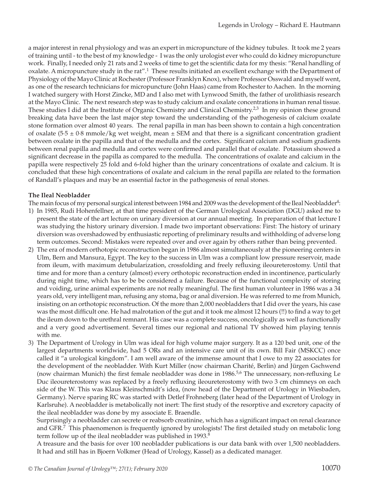a major interest in renal physiology and was an expert in micropuncture of the kidney tubules. It took me 2 years of training until - to the best of my knowledge - I was the only urologist ever who could do kidney micropuncture work. Finally, I needed only 21 rats and 2 weeks of time to get the scientific data for my thesis: "Renal handling of oxalate. A micropuncture study in the rat".<sup>1</sup> These results initiated an excellent exchange with the Department of Physiology of the Mayo Clinic at Rochester (Professor Franklyn Knox), where Professor Osswald and myself went, as one of the research technicians for micropuncture (John Haas) came from Rochester to Aachen. In the morning I watched surgery with Horst Zincke, MD and I also met with Lynwood Smith, the father of urolithiasis research at the Mayo Clinic. The next research step was to study calcium and oxalate concentrations in human renal tissue. These studies I did at the Institute of Organic Chemistry and Clinical Chemistry.<sup>2,3</sup> In my opinion these ground breaking data have been the last major step toward the understanding of the pathogenesis of calcium oxalate stone formation over almost 40 years. The renal papilla in man has been shown to contain a high concentration of oxalate  $(5.5 \pm 0.8 \text{ mmole/kg}$  wet weight, mean  $\pm$  SEM and that there is a significant concentration gradient between oxalate in the papilla and that of the medulla and the cortex. Significant calcium and sodium gradients between renal papilla and medulla and cortex were confirmed and parallel that of oxalate. Potassium showed a significant decrease in the papilla as compared to the medulla. The concentrations of oxalate and calcium in the papilla were respectively 25 fold and 6-fold higher than the urinary concentrations of oxalate and calcium. It is concluded that these high concentrations of oxalate and calcium in the renal papilla are related to the formation of Randall's plaques and may be an essential factor in the pathogenesis of renal stones.

#### **The Ileal Neobladder**

The main focus of my personal surgical interest between 1984 and 2009 was the development of the Ileal Neobladder<sup>4</sup>:

- 1) In 1985, Rudi Hohenfellner, at that time president of the German Urological Association (DGU) asked me to present the state of the art lecture on urinary diversion at our annual meeting. In preparation of that lecture I was studying the history urinary diversion. I made two important observations: First: The history of urinary diversion was overshadowed by enthusiastic reporting of preliminary results and withholding of adverse long term outcomes. Second: Mistakes were repeated over and over again by others rather than being prevented.
- 2) The era of modern orthotopic reconstruction began in 1986 almost simultaneously at the pioneering centers in Ulm, Bern and Mansura, Egypt. The key to the success in Ulm was a compliant low pressure reservoir, made from ileum, with maximum detubularization, crossfolding and freely refluxing ileoureterostomy. Until that time and for more than a century (almost) every orthotopic reconstruction ended in incontinence, particularly during night time, which has to be be considered a failure. Because of the functional complexity of storing and voiding, urine animal experiments are not really meaningful. The first human volunteer in 1986 was a 34 years old, very intelligent man, refusing any stoma, bag or anal diversion. He was referred to me from Munich, insisting on an orthotopic reconstruction. Of the more than 2,000 neobladders that I did over the years, his case was the most difficult one. He had malrotation of the gut and it took me almost 12 hours (!!) to find a way to get the ileum down to the urethral remnant. His case was a complete success, oncologically as well as functionally and a very good advertisement. Several times our regional and national TV showed him playing tennis with me.
- 3) The Department of Urology in Ulm was ideal for high volume major surgery. It as a 120 bed unit, one of the largest departments worldwide, had 5 ORs and an intensive care unit of its own. Bill Fair (MSKCC) once called it "a urological kingdom". I am well aware of the immense amount that I owe to my 22 associates for the development of the neobladder. With Kurt Miller (now chairman Charité, Berlin) and Jürgen Gschwend (now chairman Munich) the first female neobladder was done in  $1986<sup>5,6</sup>$  The unnecessary, non-refluxing Le Duc ileoureterostomy was replaced by a freely refluxing ileoureterostomy with two 3 cm chimneys on each side of the W. This was Klaus Kleinschmidt's idea, (now head of the Department of Urology in Wiesbaden, Germany). Nerve sparing RC was started with Detlef Frohneberg (later head of the Department of Urology in Karlsruhe). A neobladder is metabolically not inert: The first study of the resorptive and excretory capacity of the ileal neobladder was done by my associate E. Braendle.

Surprisingly a neobladder can secrete or reabsorb creatinine, which has a significant impact on renal clearance and GFR.<sup>7</sup> This phaenomenon is frequently ignored by urologists! The first detailed study on metabolic long term follow up of the ileal neobladder was published in 1993.<sup>8</sup>

A treasure and the basis for over 100 neobladder publications is our data bank with over 1,500 neobladders. It had and still has in Bjoern Volkmer (Head of Urology, Kassel) as a dedicated manager.